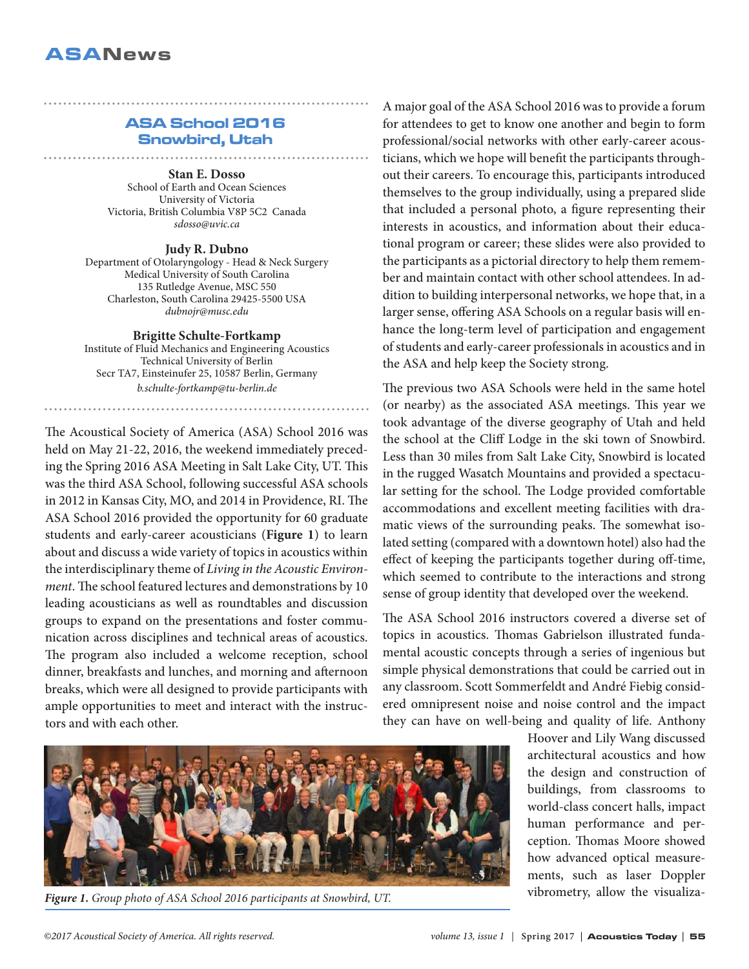## ASA School 2016 Snowbird, Utah

**Stan E. Dosso** School of Earth and Ocean Sciences University of Victoria Victoria, British Columbia V8P 5C2 Canada *sdosso@uvic.ca*

**Judy R. Dubno** 

Department of Otolaryngology - Head & Neck Surgery Medical University of South Carolina 135 Rutledge Avenue, MSC 550 Charleston, South Carolina 29425-5500 USA *dubnojr@musc.edu*

**Brigitte Schulte-Fortkamp** 

Institute of Fluid Mechanics and Engineering Acoustics Technical University of Berlin Secr TA7, Einsteinufer 25, 10587 Berlin, Germany *b.schulte-fortkamp@tu-berlin.de*

The Acoustical Society of America (ASA) School 2016 was held on May 21-22, 2016, the weekend immediately preceding the Spring 2016 ASA Meeting in Salt Lake City, UT. This was the third ASA School, following successful ASA schools in 2012 in Kansas City, MO, and 2014 in Providence, RI. The ASA School 2016 provided the opportunity for 60 graduate students and early-career acousticians (**Figure 1**) to learn about and discuss a wide variety of topics in acoustics within the interdisciplinary theme of *Living in the Acoustic Environment*. The school featured lectures and demonstrations by 10 leading acousticians as well as roundtables and discussion groups to expand on the presentations and foster communication across disciplines and technical areas of acoustics. The program also included a welcome reception, school dinner, breakfasts and lunches, and morning and afternoon breaks, which were all designed to provide participants with ample opportunities to meet and interact with the instructors and with each other.

A major goal of the ASA School 2016 was to provide a forum for attendees to get to know one another and begin to form professional/social networks with other early-career acousticians, which we hope will benefit the participants throughout their careers. To encourage this, participants introduced themselves to the group individually, using a prepared slide that included a personal photo, a figure representing their interests in acoustics, and information about their educational program or career; these slides were also provided to the participants as a pictorial directory to help them remember and maintain contact with other school attendees. In addition to building interpersonal networks, we hope that, in a larger sense, offering ASA Schools on a regular basis will enhance the long-term level of participation and engagement of students and early-career professionals in acoustics and in the ASA and help keep the Society strong.

The previous two ASA Schools were held in the same hotel (or nearby) as the associated ASA meetings. This year we took advantage of the diverse geography of Utah and held the school at the Cliff Lodge in the ski town of Snowbird. Less than 30 miles from Salt Lake City, Snowbird is located in the rugged Wasatch Mountains and provided a spectacular setting for the school. The Lodge provided comfortable accommodations and excellent meeting facilities with dramatic views of the surrounding peaks. The somewhat isolated setting (compared with a downtown hotel) also had the effect of keeping the participants together during off-time, which seemed to contribute to the interactions and strong sense of group identity that developed over the weekend.

The ASA School 2016 instructors covered a diverse set of topics in acoustics. Thomas Gabrielson illustrated fundamental acoustic concepts through a series of ingenious but simple physical demonstrations that could be carried out in any classroom. Scott Sommerfeldt and André Fiebig considered omnipresent noise and noise control and the impact they can have on well-being and quality of life. Anthony



*Figure 1. Group photo of ASA School 2016 participants at Snowbird, UT.*

Hoover and Lily Wang discussed architectural acoustics and how the design and construction of buildings, from classrooms to world-class concert halls, impact human performance and perception. Thomas Moore showed how advanced optical measurements, such as laser Doppler vibrometry, allow the visualiza-